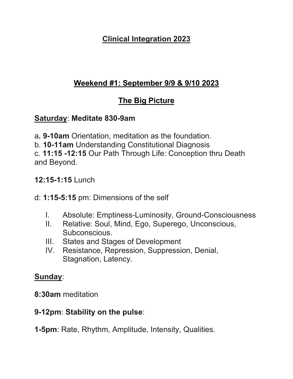# **Clinical Integration 2023**

# **Weekend #1: September 9/9 & 9/10 2023**

# **The Big Picture**

### **Saturday**: **Meditate 830-9am**

a**. 9-10am** Orientation, meditation as the foundation.

b. **10-11am** Understanding Constitutional Diagnosis

c. **11:15 -12:15** Our Path Through Life: Conception thru Death and Beyond.

### **12:15-1:15** Lunch

#### d: **1:15-5:15** pm: Dimensions of the self

- I. Absolute: Emptiness-Luminosity, Ground-Consciousness
- II. Relative: Soul, Mind, Ego, Superego, Unconscious, Subconscious.
- III. States and Stages of Development
- IV. Resistance, Repression, Suppression, Denial, Stagnation, Latency.

#### **Sunday**:

**8:30am** meditation

# **9-12pm**: **Stability on the pulse**:

**1-5pm**: Rate, Rhythm, Amplitude, Intensity, Qualities.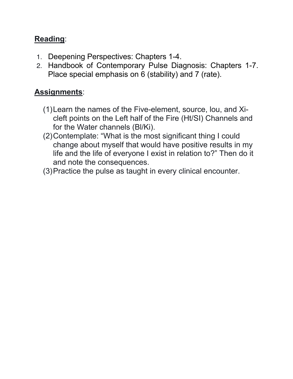# **Reading**:

- 1. Deepening Perspectives: Chapters 1-4.
- 2. Handbook of Contemporary Pulse Diagnosis: Chapters 1-7. Place special emphasis on 6 (stability) and 7 (rate).

# **Assignments**:

- (1)Learn the names of the Five-element, source, lou, and Xicleft points on the Left half of the Fire (Ht/SI) Channels and for the Water channels (Bl/Ki).
- (2)Contemplate: "What is the most significant thing I could change about myself that would have positive results in my life and the life of everyone I exist in relation to?" Then do it and note the consequences.
- (3)Practice the pulse as taught in every clinical encounter.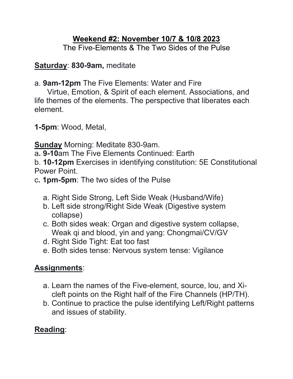### **Weekend #2: November 10/7 & 10/8 2023**

The Five-Elements & The Two Sides of the Pulse

**Saturday**: **830-9am,** meditate

a. **9am-12pm** The Five Elements: Water and Fire

 Virtue, Emotion, & Spirit of each element. Associations, and life themes of the elements. The perspective that liberates each element.

**1-5pm**: Wood, Metal,

**Sunday** Morning: Meditate 830-9am.

a**. 9-10**am The Five Elements Continued: Earth

b. **10-12pm** Exercises in identifying constitution: 5E Constitutional Power Point.

c**. 1pm-5pm**: The two sides of the Pulse

- a. Right Side Strong, Left Side Weak (Husband/Wife)
- b. Left side strong/Right Side Weak (Digestive system collapse)
- c. Both sides weak: Organ and digestive system collapse, Weak qi and blood, yin and yang: Chongmai/CV/GV
- d. Right Side Tight: Eat too fast
- e. Both sides tense: Nervous system tense: Vigilance

# **Assignments**:

- a. Learn the names of the Five-element, source, lou, and Xicleft points on the Right half of the Fire Channels (HP/TH).
- b. Continue to practice the pulse identifying Left/Right patterns and issues of stability.

# **Reading**: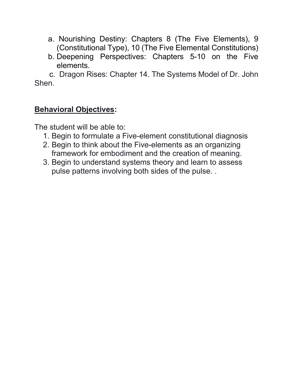- a. Nourishing Destiny: Chapters 8 (The Five Elements), 9 (Constitutional Type), 10 (The Five Elemental Constitutions)
- b. Deepening Perspectives: Chapters 5-10 on the Five elements.

 c. Dragon Rises: Chapter 14. The Systems Model of Dr. John Shen.

#### **Behavioral Objectives:**

The student will be able to:

- 1. Begin to formulate a Five-element constitutional diagnosis
- 2. Begin to think about the Five-elements as an organizing framework for embodiment and the creation of meaning.
- 3. Begin to understand systems theory and learn to assess pulse patterns involving both sides of the pulse. .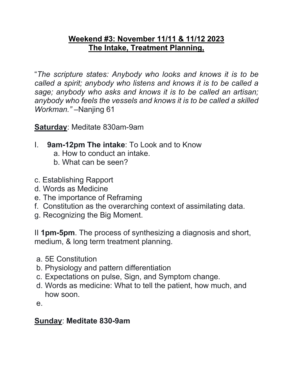#### **Weekend #3: November 11/11 & 11/12 2023 The Intake, Treatment Planning,**

"*The scripture states: Anybody who looks and knows it is to be called a spirit; anybody who listens and knows it is to be called a sage; anybody who asks and knows it is to be called an artisan; anybody who feels the vessels and knows it is to be called a skilled Workman."* –Nanjing 61

**Saturday**: Meditate 830am-9am

- I. **9am-12pm The intake**: To Look and to Know a. How to conduct an intake.
	- b. What can be seen?
- c. Establishing Rapport
- d. Words as Medicine
- e. The importance of Reframing
- f. Constitution as the overarching context of assimilating data.
- g. Recognizing the Big Moment.

II **1pm-5pm**. The process of synthesizing a diagnosis and short, medium, & long term treatment planning.

- a. 5E Constitution
- b. Physiology and pattern differentiation
- c. Expectations on pulse, Sign, and Symptom change.
- d. Words as medicine: What to tell the patient, how much, and how soon.

e.

#### **Sunday**: **Meditate 830-9am**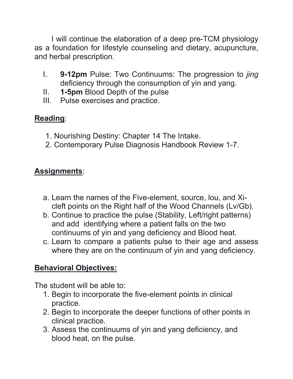I will continue the elaboration of a deep pre-TCM physiology as a foundation for lifestyle counseling and dietary, acupuncture, and herbal prescription.

- I. **9-12pm** Pulse: Two Continuums: The progression to *jing* deficiency through the consumption of yin and yang.
- II. **1-5pm** Blood Depth of the pulse
- III. Pulse exercises and practice.

# **Reading**:

- 1. Nourishing Destiny: Chapter 14 The Intake.
- 2. Contemporary Pulse Diagnosis Handbook Review 1-7.

# **Assignments**:

- a. Learn the names of the Five-element, source, lou, and Xicleft points on the Right half of the Wood Channels (Lv/Gb).
- b. Continue to practice the pulse (Stability, Left/right patterns) and add identifying where a patient falls on the two continuums of yin and yang deficiency and Blood heat.
- c. Learn to compare a patients pulse to their age and assess where they are on the continuum of yin and yang deficiency.

# **Behavioral Objectives:**

The student will be able to:

- 1. Begin to incorporate the five-element points in clinical practice.
- 2. Begin to incorporate the deeper functions of other points in clinical practice.
- 3. Assess the continuums of yin and yang deficiency, and blood heat, on the pulse.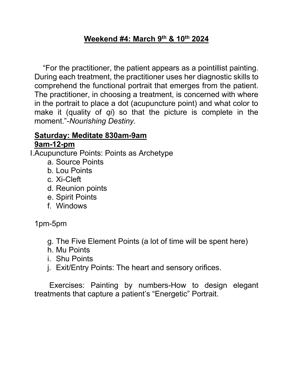### **Weekend #4: March 9th & 10th 2024**

 "For the practitioner, the patient appears as a pointillist painting. During each treatment, the practitioner uses her diagnostic skills to comprehend the functional portrait that emerges from the patient. The practitioner, in choosing a treatment, is concerned with where in the portrait to place a dot (acupuncture point) and what color to make it (quality of *qi*) so that the picture is complete in the moment."-*Nourishing Destiny*.

#### **Saturday: Meditate 830am-9am 9am-12-pm**

I.Acupuncture Points: Points as Archetype

- a. Source Points
- b. Lou Points
- c. Xi-Cleft
- d. Reunion points
- e. Spirit Points
- f. Windows

1pm-5pm

- g. The Five Element Points (a lot of time will be spent here)
- h. Mu Points
- i. Shu Points
- j. Exit/Entry Points: The heart and sensory orifices.

 Exercises: Painting by numbers-How to design elegant treatments that capture a patient's "Energetic" Portrait.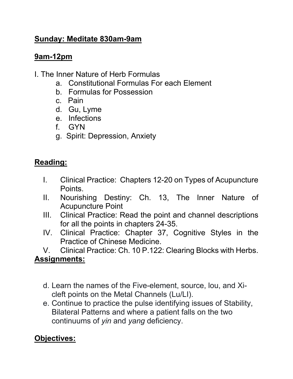# **Sunday: Meditate 830am-9am**

# **9am-12pm**

- I. The Inner Nature of Herb Formulas
	- a. Constitutional Formulas For each Element
	- b. Formulas for Possession
	- c. Pain
	- d. Gu, Lyme
	- e. Infections
	- f. GYN
	- g. Spirit: Depression, Anxiety

# **Reading:**

- I. Clinical Practice: Chapters 12-20 on Types of Acupuncture Points.
- II. Nourishing Destiny: Ch. 13, The Inner Nature of Acupuncture Point
- III. Clinical Practice: Read the point and channel descriptions for all the points in chapters 24-35.
- IV. Clinical Practice: Chapter 37, Cognitive Styles in the Practice of Chinese Medicine.

V. Clinical Practice: Ch. 10 P.122: Clearing Blocks with Herbs. **Assignments:**

- d. Learn the names of the Five-element, source, lou, and Xicleft points on the Metal Channels (Lu/LI).
- e. Continue to practice the pulse identifying issues of Stability, Bilateral Patterns and where a patient falls on the two continuums of *yin* and *yang* deficiency.

# **Objectives:**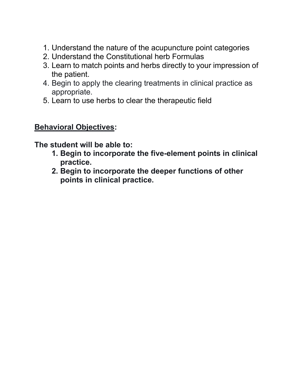- 1. Understand the nature of the acupuncture point categories
- 2. Understand the Constitutional herb Formulas
- 3. Learn to match points and herbs directly to your impression of the patient.
- 4. Begin to apply the clearing treatments in clinical practice as appropriate.
- 5. Learn to use herbs to clear the therapeutic field

### **Behavioral Objectives:**

**The student will be able to:**

- **1. Begin to incorporate the five-element points in clinical practice.**
- **2. Begin to incorporate the deeper functions of other points in clinical practice.**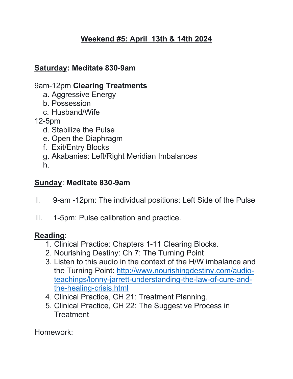# **Weekend #5: April 13th & 14th 2024**

### **Saturday: Meditate 830-9am**

### 9am-12pm **Clearing Treatments**

- a. Aggressive Energy
- b. Possession
- c. Husband/Wife
- 12-5pm
	- d. Stabilize the Pulse
	- e. Open the Diaphragm
	- f. Exit/Entry Blocks
	- g. Akabanies: Left/Right Meridian Imbalances
	- h.

### **Sunday**: **Meditate 830-9am**

- I. 9-am -12pm: The individual positions: Left Side of the Pulse
- II. 1-5pm: Pulse calibration and practice.

# **Reading**:

- 1. Clinical Practice: Chapters 1-11 Clearing Blocks.
- 2. Nourishing Destiny: Ch 7: The Turning Point
- 3. Listen to this audio in the context of the H/W imbalance and the Turning Point: http://www.nourishingdestiny.com/audioteachings/lonny-jarrett-understanding-the-law-of-cure-andthe-healing-crisis.html
- 4. Clinical Practice, CH 21: Treatment Planning.
- 5. Clinical Practice, CH 22: The Suggestive Process in **Treatment**

Homework: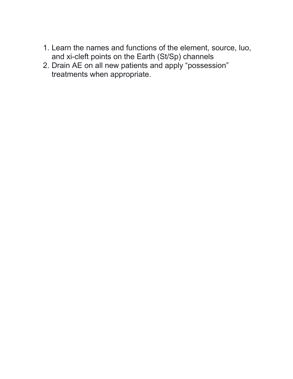- 1. Learn the names and functions of the element, source, luo, and xi-cleft points on the Earth (St/Sp) channels
- 2. Drain AE on all new patients and apply "possession" treatments when appropriate.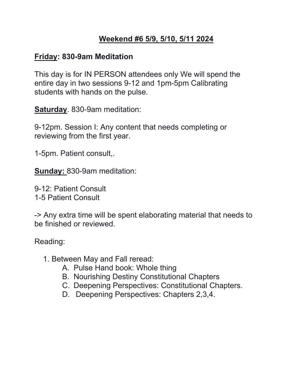# **Weekend #6 5/9, 5/10, 5/11 2024**

#### **Friday: 830-9am Meditation**

This day is for IN PERSON attendees only We will spend the entire day in two sessions 9-12 and 1pm-5pm Calibrating students with hands on the pulse.

**Saturday**. 830-9am meditation:

9-12pm. Session I: Any content that needs completing or reviewing from the first year.

1-5pm. Patient consult,.

**Sunday:** 830-9am meditation:

9-12: Patient Consult 1-5 Patient Consult

-> Any extra time will be spent elaborating material that needs to be finished or reviewed.

Reading:

- 1. Between May and Fall reread:
	- A. Pulse Hand book: Whole thing
	- B. Nourishing Destiny Constitutional Chapters
	- C. Deepening Perspectives: Constitutional Chapters.
	- D. Deepening Perspectives: Chapters 2,3,4.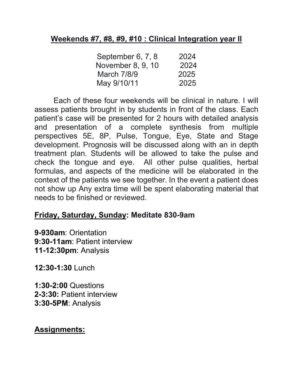#### **Weekends #7, #8, #9, #10 : Clinical Integration year II**

| 2024 |
|------|
| 2024 |
| 2025 |
| 2025 |
|      |

 Each of these four weekends will be clinical in nature. I will assess patients brought in by students in front of the class. Each patient's case will be presented for 2 hours with detailed analysis and presentation of a complete synthesis from multiple perspectives 5E, 8P, Pulse, Tongue, Eye, State and Stage development. Prognosis will be discussed along with an in depth treatment plan. Students will be allowed to take the pulse and check the tongue and eye. All other pulse qualities, herbal formulas, and aspects of the medicine will be elaborated in the context of the patients we see together. In the event a patient does not show up Any extra time will be spent elaborating material that needs to be finished or reviewed.

# **Friday, Saturday, Sunday: Meditate 830-9am**

**9-930am**: Orientation **9:30-11am**: Patient interview **11-12:30pm**: Analysis

**12:30-1:30** Lunch

**1:30-2:00** Questions **2-3:30:** Patient interview **3:30-5PM**: Analysis

# **Assignments:**